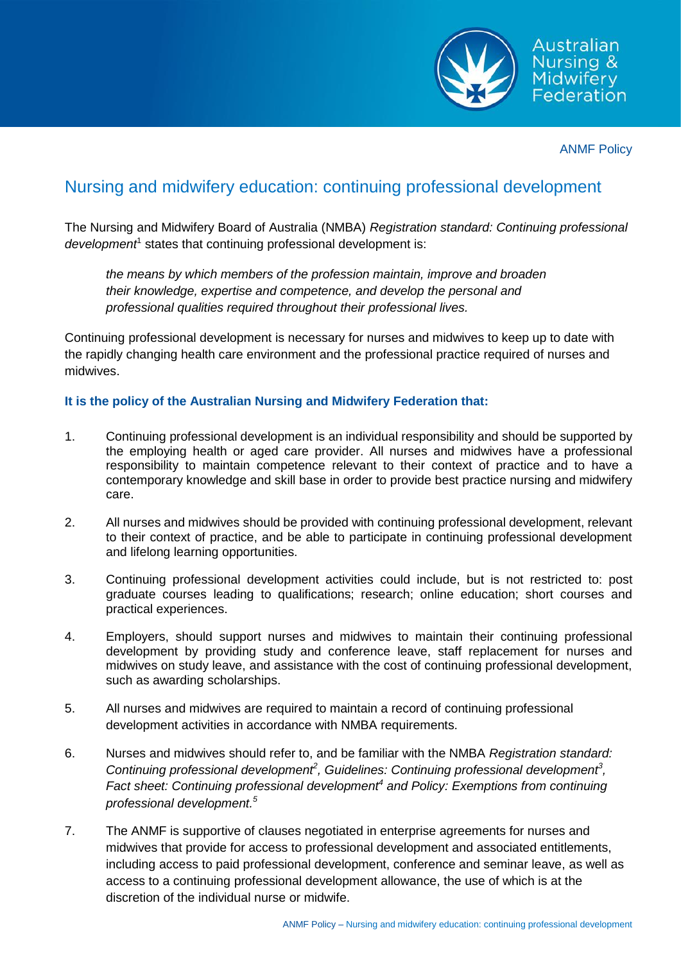

ANMF Policy

## Nursing and midwifery education: continuing professional development

The Nursing and Midwifery Board of Australia (NMBA) *Registration standard: Continuing professional development<sup>1</sup>* states that continuing professional development is:

*the means by which members of the profession maintain, improve and broaden their knowledge, expertise and competence, and develop the personal and professional qualities required throughout their professional lives.*

Continuing professional development is necessary for nurses and midwives to keep up to date with the rapidly changing health care environment and the professional practice required of nurses and midwives.

## **It is the policy of the Australian Nursing and Midwifery Federation that:**

- 1. Continuing professional development is an individual responsibility and should be supported by the employing health or aged care provider. All nurses and midwives have a professional responsibility to maintain competence relevant to their context of practice and to have a contemporary knowledge and skill base in order to provide best practice nursing and midwifery care.
- 2. All nurses and midwives should be provided with continuing professional development, relevant to their context of practice, and be able to participate in continuing professional development and lifelong learning opportunities.
- 3. Continuing professional development activities could include, but is not restricted to: post graduate courses leading to qualifications; research; online education; short courses and practical experiences.
- 4. Employers, should support nurses and midwives to maintain their continuing professional development by providing study and conference leave, staff replacement for nurses and midwives on study leave, and assistance with the cost of continuing professional development, such as awarding scholarships.
- 5. All nurses and midwives are required to maintain a record of continuing professional development activities in accordance with NMBA requirements.
- 6. Nurses and midwives should refer to, and be familiar with the NMBA *Registration standard:*  Continuing professional development<sup>2</sup>, Guidelines: Continuing professional development<sup>3</sup>, *Fact sheet: Continuing professional development<sup>4</sup> and Policy: Exemptions from continuing professional development. 5*
- 7. The ANMF is supportive of clauses negotiated in enterprise agreements for nurses and midwives that provide for access to professional development and associated entitlements, including access to paid professional development, conference and seminar leave, as well as access to a continuing professional development allowance, the use of which is at the discretion of the individual nurse or midwife.